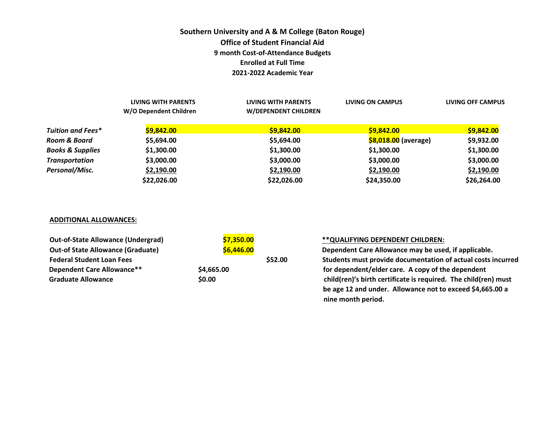## **Southern University and A & M College (Baton Rouge) Office of Student Financial Aid 9 month Cost-of-Attendance Budgets Enrolled at Full Time 2021-2022 Academic Year**

|                             | LIVING WITH PARENTS<br>W/O Dependent Children | LIVING WITH PARENTS<br>W/DEPENDENT CHILDREN | LIVING ON CAMPUS     | LIVING OFF CAMPUS |
|-----------------------------|-----------------------------------------------|---------------------------------------------|----------------------|-------------------|
| Tuition and Fees*           | \$9,842.00                                    | \$9,842.00                                  | \$9,842.00           | \$9,842.00        |
| Room & Board                | \$5,694.00                                    | \$5,694.00                                  | \$8,018.00 (average) | \$9,932.00        |
| <b>Books &amp; Supplies</b> | \$1,300.00                                    | \$1,300.00                                  | \$1,300.00           | \$1,300.00        |
| <b>Transportation</b>       | \$3,000.00                                    | \$3,000.00                                  | \$3,000.00           | \$3,000.00        |
| Personal/Misc.              | \$2,190.00                                    | \$2,190.00                                  | \$2,190.00           | \$2,190.00        |
|                             | \$22,026.00                                   | \$22,026.00                                 | \$24,350.00          | \$26,264.00       |

### **ADDITIONAL ALLOWANCES:**

| <b>Out-of-State Allowance (Undergrad)</b> | \$7,350.00 |         | ** QUALIFYING DEPENDENT CHILDREN:                               |
|-------------------------------------------|------------|---------|-----------------------------------------------------------------|
| <b>Out-of State Allowance (Graduate)</b>  | \$6,446.00 |         | Dependent Care Allowance may be used, if applicable.            |
| <b>Federal Student Loan Fees</b>          |            | \$52.00 | Students must provide documentation of actual costs incurred    |
| Dependent Care Allowance**                | \$4,665.00 |         | for dependent/elder care. A copy of the dependent               |
| <b>Graduate Allowance</b>                 | \$0.00     |         | child(ren)'s birth certificate is required. The child(ren) must |
|                                           |            |         | be age 12 and under. Allowance not to exceed \$4,665.00 a       |

 **nine month period.**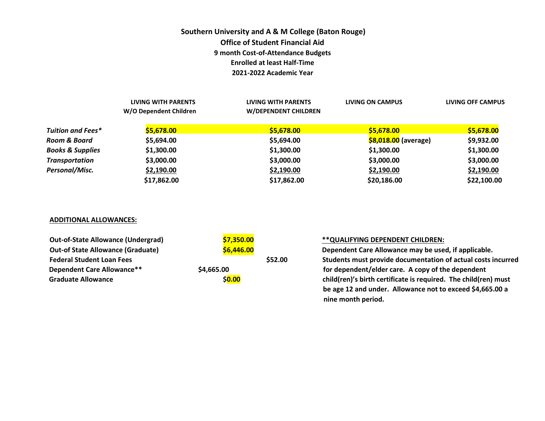# **Southern University and A & M College (Baton Rouge) Office of Student Financial Aid 9 month Cost-of-Attendance Budgets Enrolled at least Half-Time 2021-2022 Academic Year**

|                             | LIVING WITH PARENTS<br>W/O Dependent Children | LIVING WITH PARENTS<br><b>W/DEPENDENT CHILDREN</b> | LIVING ON CAMPUS     | LIVING OFF CAMPUS |
|-----------------------------|-----------------------------------------------|----------------------------------------------------|----------------------|-------------------|
| <b>Tuition and Fees*</b>    | \$5,678.00                                    | \$5,678.00                                         | \$5,678.00           | \$5,678.00        |
| Room & Board                | \$5,694.00                                    | \$5,694.00                                         | \$8,018.00 (average) | \$9,932.00        |
| <b>Books &amp; Supplies</b> | \$1,300.00                                    | \$1,300.00                                         | \$1,300.00           | \$1,300.00        |
| <b>Transportation</b>       | \$3,000.00                                    | \$3,000.00                                         | \$3,000.00           | \$3,000.00        |
| Personal/Misc.              | \$2,190.00                                    | \$2,190.00                                         | \$2,190.00           | \$2,190.00        |
|                             | \$17,862.00                                   | \$17,862.00                                        | \$20,186.00          | \$22,100.00       |

### **ADDITIONAL ALLOWANCES:**

| <b>Out-of-State Allowance (Undergrad)</b> | \$7,350.00 |         | ** QUALIFYING DEPENDENT CHILDREN:                               |
|-------------------------------------------|------------|---------|-----------------------------------------------------------------|
| <b>Out-of State Allowance (Graduate)</b>  | \$6,446.00 |         | Dependent Care Allowance may be used, if applicable.            |
| <b>Federal Student Loan Fees</b>          |            | \$52.00 | Students must provide documentation of actual costs incurred    |
| <b>Dependent Care Allowance**</b>         | \$4,665.00 |         | for dependent/elder care. A copy of the dependent               |
| <b>Graduate Allowance</b>                 | \$0.00     |         | child(ren)'s birth certificate is required. The child(ren) must |
|                                           |            |         | be age 12 and under. Allowance not to exceed \$4,665.00 a       |

 **nine month period.**